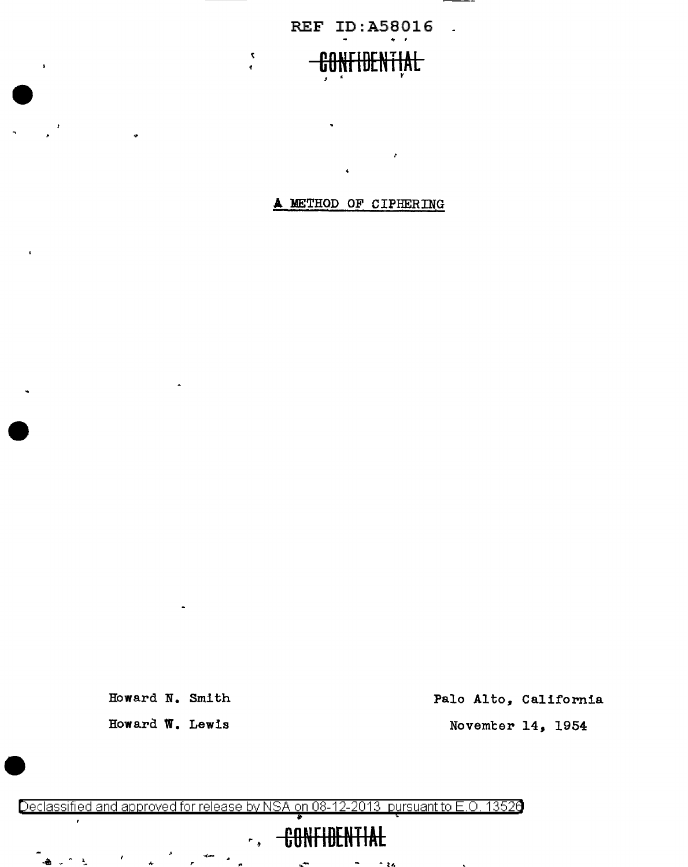REF ID:A58016 .

### **CONFIBENTIAL**   $I \subset \mathbb{R}$  is the set of  $\mathbb{R}$

 $\bar{\mathbf{v}}$ 

 $\epsilon$ 

 $\lambda$ 

**A** METHOD OF CIPHERING

 $\pmb{\cdot}$ 

Howard N. Smith Howard W. Lewis

 $\clubsuit$ 

್ನ ೧೯೬

Palo Alto, California

Novemter 14, 1954

Declassified and approved for release by NSA on 08-12-2013 pursuantto E .0. 1352a ; '

# **CONFIDENTIAL**

,. للعي  $+14$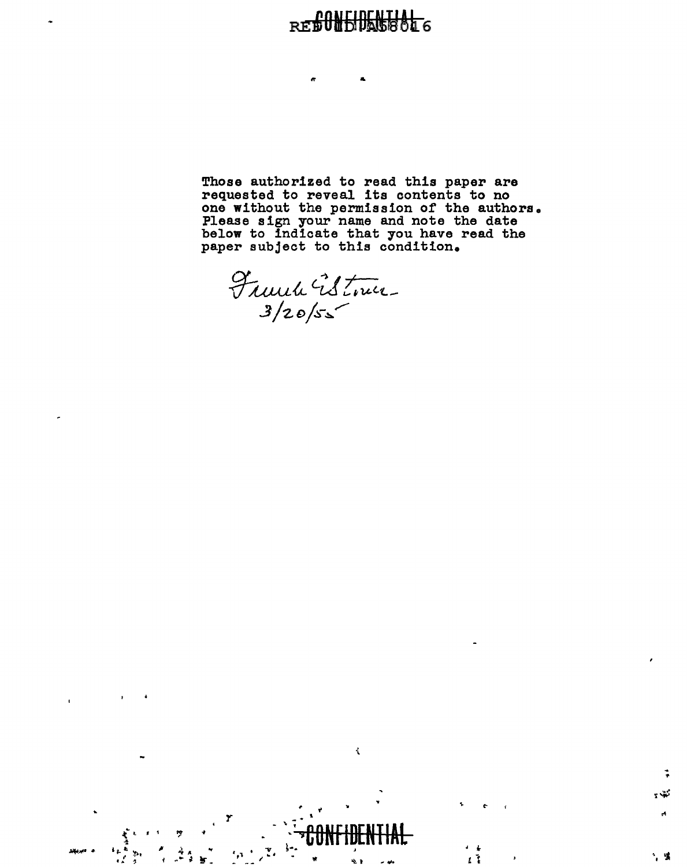#### त्रहोत **REEU**

&

Those authorized to read this paper are requested to reveal its contents to no one without the permission of the authors. Please sign your name and note the date below to indicate that you have read the paper subject to this condition.

Franck Estoner

 $\sum_{i=1}^n \frac{1}{i} \sum_{j=1}^n \frac{1}{j} \sum_{j=1}^n \frac{1}{j} \sum_{j=1}^n \frac{1}{j} \sum_{j=1}^n \frac{1}{j} \sum_{j=1}^n \frac{1}{j} \sum_{j=1}^n \frac{1}{j} \sum_{j=1}^n \frac{1}{j} \sum_{j=1}^n \frac{1}{j} \sum_{j=1}^n \frac{1}{j} \sum_{j=1}^n \frac{1}{j} \sum_{j=1}^n \frac{1}{j} \sum_{j=1}^n \frac{1}{j} \sum_{j=1}^n \frac{$ 

*y* 

~

.<br>¥ -

 $\mathbb{R}^n$  ,  $\mathbb{R}^n$ 

ي في المارس السياسية.<br>ال-الباري المارس المارسية.<br>الجامعة المارسية المارسية.



-; -~ !W ~

' I i

*t* ·;

.. ... t-

 $\sim$  . Todal identity.  $\mathbf{r}_1$  ,  $\mathbf{r}_2$  ,  $\mathbf{r}_3$  ,  $\mathbf{r}_4$  ,  $\mathbf{r}_5$  ,  $\mathbf{r}_6$  ,  $\mathbf{r}_7$  ,  $\mathbf{r}_8$  ,  $\mathbf{r}_9$  ,  $\mathbf{r}_9$  ,  $\mathbf{r}_9$  ,  $\mathbf{r}_9$  ,  $\mathbf{r}_9$  ,  $\mathbf{r}_9$  ,  $\mathbf{r}_9$  ,  $\mathbf{r}_9$  ,  $\mathbf{r}_9$  ,  $\mathbf{r}_9$  ,  $\mathbf{$ 

 $\tilde{\mathbf{t}}$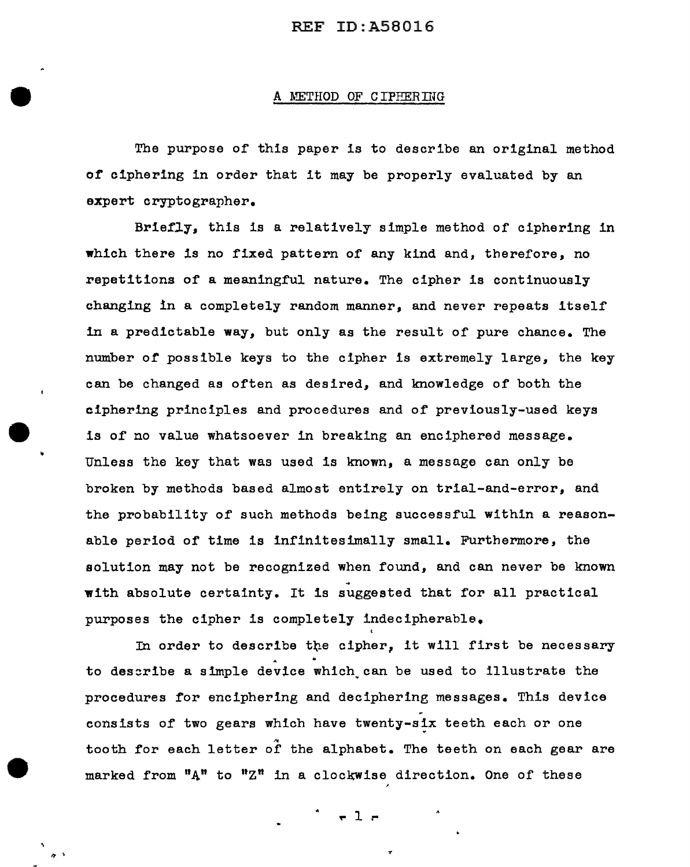#### A METHOD OF CIPEERING

The purpose of this paper is to describe an original method of ciphering in order that it may be properly evaluated by an expert cryptographer.

Brief1y, this is a relatively simple method of ciphering in which there is no fixed pattern of any kind and, therefore, no repetitions of a meaningful nature. The cipher is continuously changing in a completely random manner, and never repeats itself in a predictable way, but only as the result of pure chance. The number of possible keys to the cipher is extremely large, the key can be changed as often as desired, and knowledge of both the ciphering principles and procedures and of previously-used keys is of no value whatsoever in breaking an enciphered message. Unless the key that was used is known, a message can only be broken by methods based almost entirely on trial-and-error, and the probability of such methods being successful within a reasonable period of time is infinitesimally small. Furthermore, the solution may not be recognized when found, and can never be known ~ with absolute certainty. It is suggested that for all practical purposes the cipher is completely indecipherable.

In order to describe the cipher, it will first be necessary to describe a simple device which can be used to illustrate the procedures for enciphering and deciphering messages. This device consists of two gears which have twenty-six teeth each or one tooth for each letter of the alphabet. The teeth on each gear are marked from "A" to "Z" in a clockwise direction. One of these

 $-1$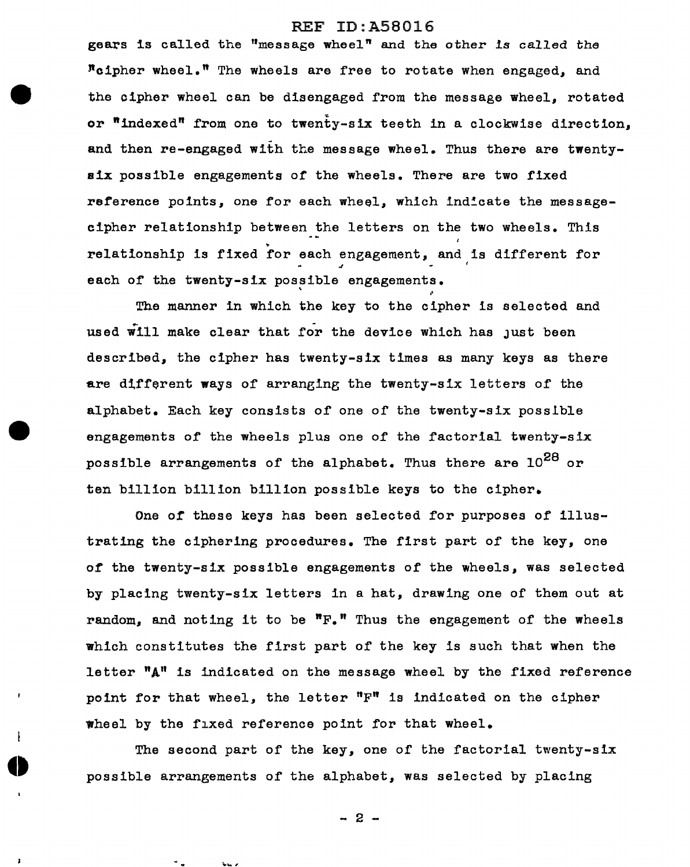gears is called the "message wheel" and the other is called the  $"$ cipher wheel." The wheels are free to rotate when engaged, and the cipher wheel can be disengaged from the message wheel, rotated or "indexed" from one to twenty-six teeth in a clockwise direction, and then re-engaged with the message wheel. Thus there are twentys1x possible engagements or the wheels. There are two fixed reference points, one for each wheel, which indicate the messagecipher relationship between the letters on the two wheels. This relationship is fixed for each engagement, and is different for each of the twenty-six possible engagements.

' The manner in which the key to the cipher is selected and used will make clear that for the device which has just been described, the cipher has twenty-six times as many keys as there are d1fferent ways of arranging the twenty-six letters of the alphabet. Each key consists of one of the twenty-six posslble engagements of the wheels plus one of the factorial twenty-six possible arrangements of the alphabet. Thus there are  $10^{28}$  or ten billion billion billion possible keys to the cipher.

One *ot* these keys has been selected for purposes of illustrating the ciphering procedures. The first part of the key, one of the twenty-six possible engagements of the wheels, was selected by placing twenty-six letters in a hat, drawing one of them out at random, and noting it to be  ${}^{\mathbf{n}}\mathbf{F}_{\bullet}{}^{\mathbf{n}}$  Thus the engagement of the wheels which constitutes the first part of the key is such that when the letter  $^{\mathsf{M}}\mathbf{A}^{\mathsf{H}}$  is indicated on the message wheel by the fixed reference point for that wheel, the letter "F" is indicated on the cipher •heel by the fixed reference point for that wheel.

The second part of the key, one of the factorial twenty-six possible arrangements of the alphabet, was selected by placing

- 2 -

**Select**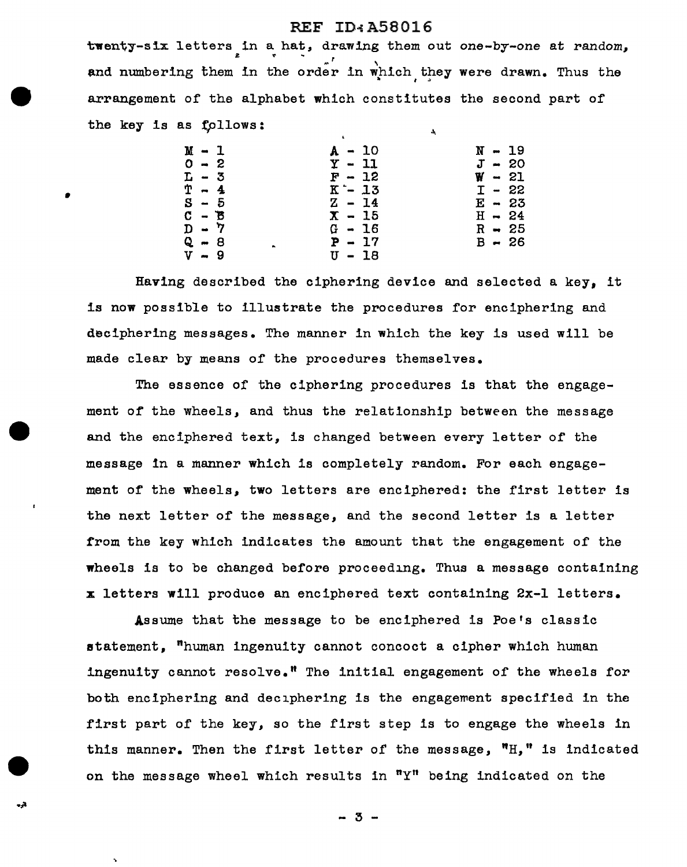#### REF ID~A58016

twenty-six letters in a hat, drawing them out one-by-one at random, and numbering them in the order in which they were drawn. Thus the arrangement of the alphabet which constitutes the second part of the key is as follows:

|         |          | - 1 |          |  |
|---------|----------|-----|----------|--|
| $M - 1$ | $A - 10$ |     | $N - 19$ |  |
| $0 - 2$ | $Y - 11$ |     | $J - 20$ |  |
| $L - 3$ | $F - 12$ |     | $W - 21$ |  |
| $T - 4$ | $K - 13$ |     | $I - 22$ |  |
| $S - 5$ | $Z - 14$ |     | $E - 23$ |  |
| $C - B$ | $X - 15$ |     | $H - 24$ |  |
| $D - 7$ | $G - 16$ |     | $R - 25$ |  |
| Q - 8   | $P - 17$ |     | $B - 26$ |  |
| $V - 9$ | U - 18   |     |          |  |

•

- 2

Ň,

Having described the ciphering device and selected a key, it is now possible to illustrate the procedures for enciphering and deciphering messages. The manner in which the key is used will be made clear by means of the procedures themselves.

The essence of the ciphering procedures is that the engagement or the wheels, and thus the relationship between the message and the enciphered text, is changed between every letter of the message in a manner which is completely random. For each engagement of the wheels, two letters are enciphered: the first letter is the next letter of the message, and the second letter is a letter from the key which indicates the amount that the engagement of the wheels is to be changed before proceeding. Thus a message containing x letters will produce an enciphered text containing 2x-l letters.

Assume that the message to be enciphered is Poe's classic statement, "human ingenuity cannot concoct a cipher which human ingenuity cannot resolve.<sup> $n$ </sup> The initial engagement of the wheels for both enciphering and deciphering is the engagement specified in the first part of the key, so the first step is to engage the wheels in this manner. Then the first letter of the message, "H," is indicated on the message wheel which results in "Y" being indicated on the

- 3 -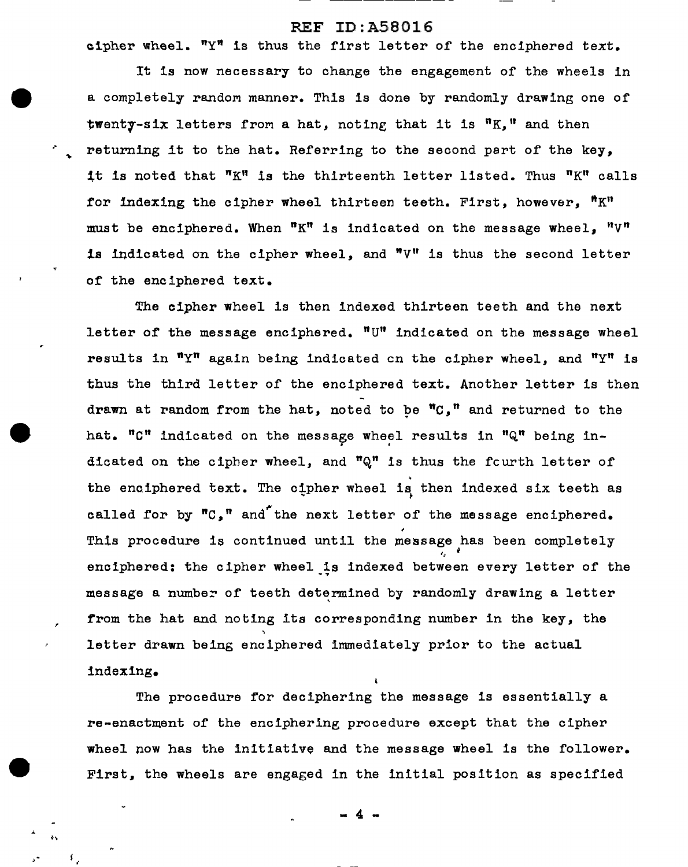cipher wheel.  $T_Y$  is thus the first letter of the enciphered text.

It is now necessary to change the engagement of the wheels in a completely random manner. This is done by randomly drawing one of twenty-six letters from a hat, noting that it is  $"K,"$  and then returning it to the hat. Referring to the second part of the key, it is noted that  ${}^{\mathsf{T}}\mathbf{K}^{\mathsf{R}}$  is the thirteenth letter listed. Thus  ${}^{\mathsf{R}}\mathbf{K}^{\mathsf{R}}$  calls for indexing the cipher wheel thirteen teeth. First, however,  $"K"$ must be enciphered. When  $^nK^n$  is indicated on the message wheel,  $^nV^n$ is indicated on the cipher wheel, and  $N V''$  is thus the second letter of the enciphered text.

The cipher wheel is then indexed thirteen teeth and the next letter of the message enciphered.  $"U"$  indicated on the message wheel results in  $"Y"$  again being indicated on the cipher wheel, and  $"Y"$  is thus the third letter of the enciphered text. Another letter is then drawn at random from the hat, noted to be  $^{\text{m}}C$ ," and returned to the hat. "C" indicated on the message wheel results in "Q" being indicated on the cipher wheel, and  $\mathfrak{n}$ <sup>n</sup> is thus the fcurth letter of the enciphered text. The cipher wheel is then indexed six teeth as called for by  ${}^{\text{m}}\text{C}_s$ <sup>m</sup> and the next letter of the message enciphered. This procedure is continued until the message has been completely enciphered: the cipher wheel is indexed between every letter of the message a number of teeth determined by randomly drawing a letter ' from the hat and noting its corresponding number in the key, the letter drawn being enciphered immediately prior to the actual indexing.

The procedure for deciphering the message is essentially a re-enactment or the enciphering procedure except that the cipher wheel now has the initiative and the message wheel is the follower. First, the wheels are engaged in the initial position as specified

- 4 -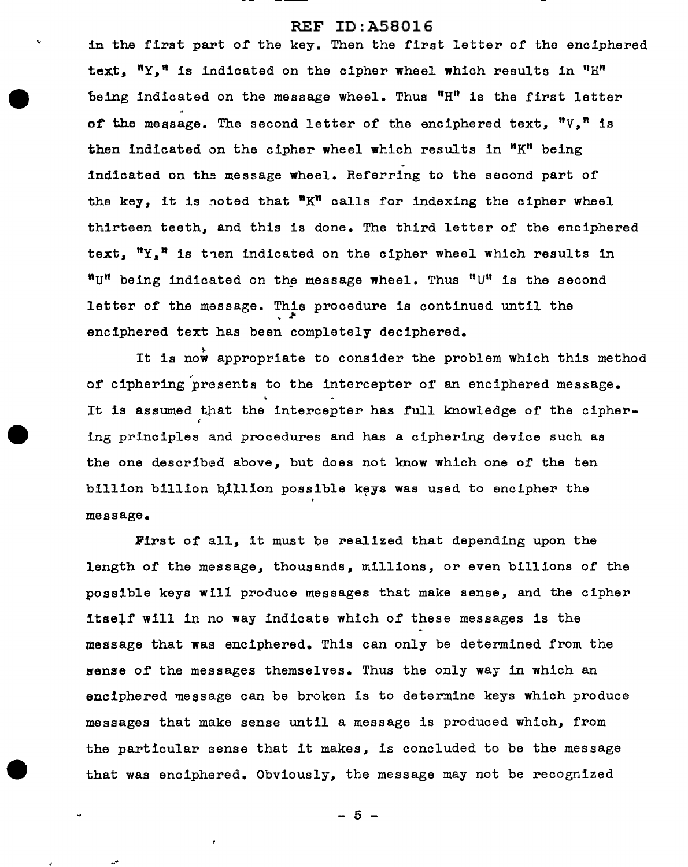in the first part of the key. Then the first letter of the enciphered text.  $''Y$ ," is indicated on the cipher wheel which results in " $H''$ 'being indicated on the message wheel. Thus "H" is the first letter of the message. The second letter of the enciphered text. "V." is then indicated on the cipher wheel which results in " $K$ " being indicated on the message wheel. Referring to the second part of the key, it is noted that  ${}^{\prime\prime}K^{\prime\prime}$  calls for indexing the cipher wheel thirteen teeth., and this is done. The third letter of the enciphered text,  $''Y$ ,<sup>n</sup> is then indicated on the cipher wheel which results in "U" being indicated on the message wheel. Thus "U" is the second letter of the message. This procedure is continued until the enciphered text has been completely deciphered.

It is now appropriate to consider the problem which this method<br>of ciphering presents to the intercepter of an enciphered message. It is assumed that the intercepter has full knowledge of the cipher-' ing principles and procedures and has a ciphering device such as the one described above, but does not know which one of the ten billion billion billion possible keys was used to encipher the message.

First of all, it must be realized that depending upon the length of the message. thousands. millions. or even billions of the possible keys will produce messages that make sense, and the cipher itself will in no way indicate which of these messages is the message that was enciphered. This can only be determined from the sense of the messages themselves. Thus the only way in which an enciphered message can be broken is to determine keys which produce messages that make sense until a message is produced which, from the particular sense that it makes, is concluded to be the message that was enciphered. Obviously, the message may not be recognized

 $-5 -$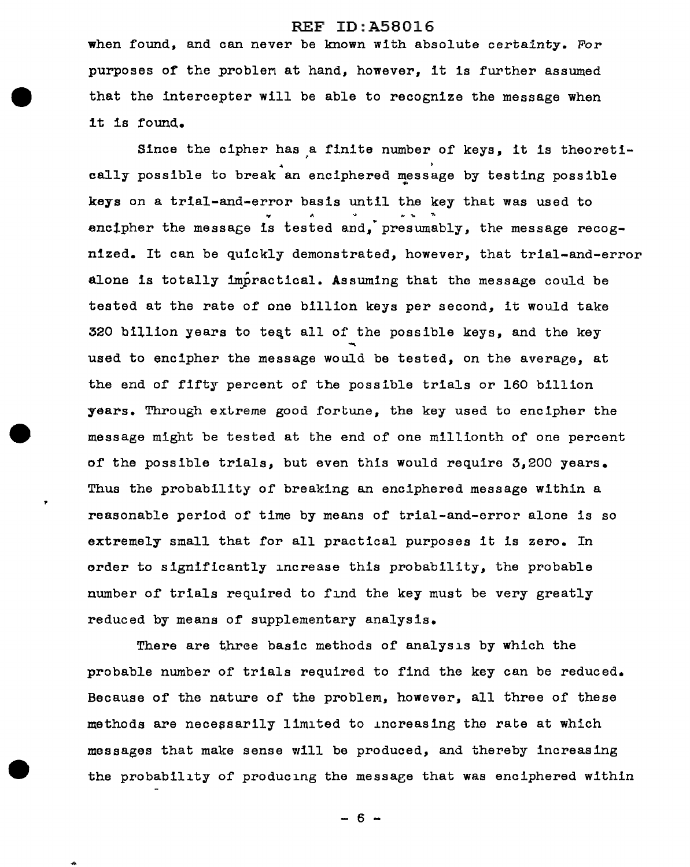when found, and can never be known with absolute certainty. For purposes of the problen at hand, however, it is further assumed that the lntercepter will be able to recognize the message when it ls found.

Since the cipher has a finite number of keys, it is theoretically possible to break an enciphered message by testing possible keys on a trial-and-error basis until the key that was used to ~ ~ encipher the message is tested and, presumably, the message recognized. It can be quickly demonstrated, however, that trial-and-error alone is totally impractical. Assuming that the message could be tested at the rate of one billion keys per second, it would take 320 billion years to teqt all of the possible keys, and the key used to encipher the message would be tested, on the average, at the end of fifty percent of the possible trials or 160 billion years. Through extreme good fortune, the key used to encipher the message might be tested at the end of one millionth of one percent of the possible trials, but even this would require 3,200 years. Thus the probability of breaking an enciphered message within a reasonable period of time by means of trial-and-error alone is so extremely small that for all practical purposes it is zero. In order to significantly increase this probability, the probable number of trials required to find the key must be very greatly reduced by means of supplementary analysis.

There are three basic methods of analysis by which the probable number of trials required to find the key can be reduced. Because of the nature of the problem, however, all three of these methods are necessarily limited to increasing the rate at which messages that make sense will be produced, and thereby increasing the probability of producing the message that was enciphered within

- 6 -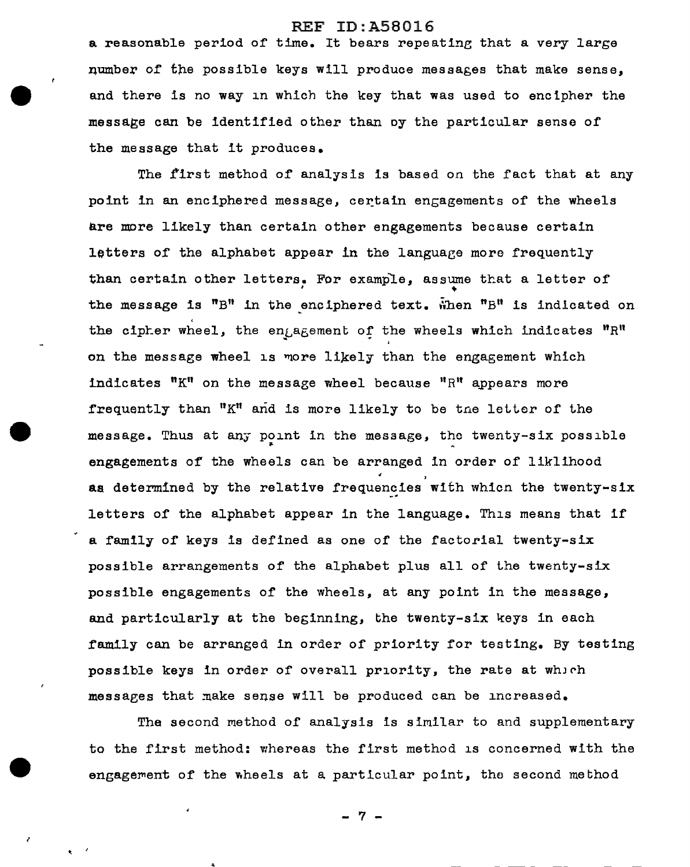a reasonable period of time. It bears repeating that a very large number of the possible keys will produce messages that make sense, and there is no way in which the key that was used to encipher the message can be identified other than oy the particular sense of the message that it produces.

The first method of analysis is based on the fact that at any point in an enciphered message, certain engagements of the wheels are more likely than certain other engagements because certain letters of the alphabet appear in the language more frequently than certain other letters. For example, assume that a letter of the message is  ${}^{\prime\prime}B''$  in the enciphered text.  $\tilde{w}$ hen "B" is indicated on the cipher wheel, the engagement of the wheels which indicates " $R$ " on the message wheel is more likely than the engagement which indicates  $"K"$  on the message wheel because  $"R"$  appears more frequently than "K" and is more likely to be tne letter of the message. Thus at any point in the message, the twenty-six possible engagements of the wheels can be arranged in order of liklihood<br>as determined by the relative frequencies with whicn the twenty-six letters of the alphabet appear in the language. This means that if a family of keys is defined as one of the factorial twenty-six possible arrangements of the alphabet plus all of the twenty-six possible engagements of the wheels, at any point in the message, and particularly at the beginning, the twenty-six keys in each family can be arranged in order of priority for testing. By testing possible keys in order of overall priority, the rate at which messages that make sense will be produced can be increased.

The second method of analysis is similar to and supplementary to the first method: whereas the first method is concerned with the engagement of the wheels at a particular point, the second method

- 7 -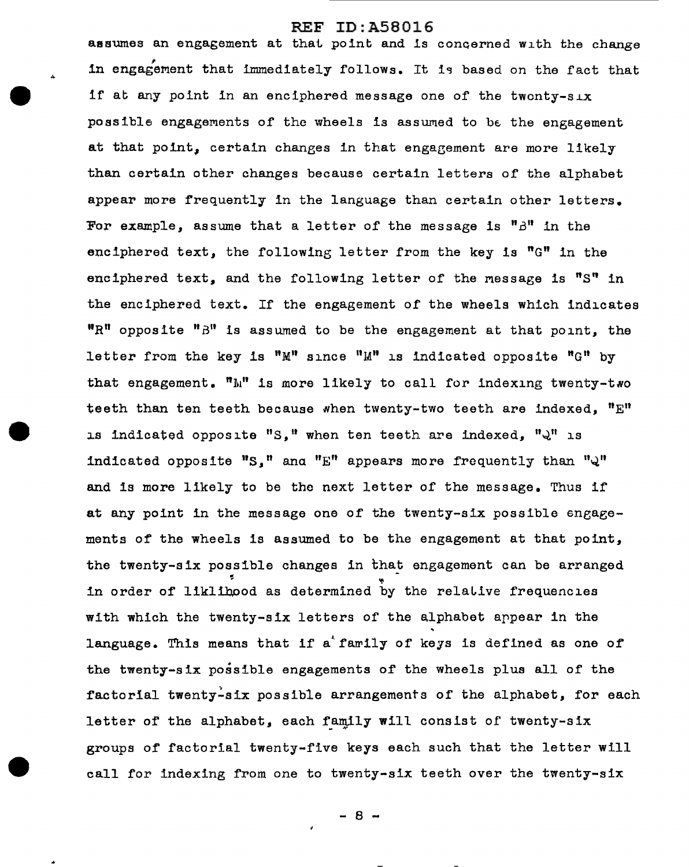assumes an engagement at that point and is concerned with the change<br>in engagement that immediately follows. It is based on the fact that if at any point in an enciphered message one of the twonty-six possible engagements of the wheels is assumed to be the engagement at that point, certain changes in that engagement are more likely than certain other changes because certain letters of the alphabet appear more frequently in the language than certain other letters. For example, assume that a letter of the message is  $"A"$  in the enciphered text, the following letter from the key is  $^{\mathfrak{m}}$ G" in the enciphered text, and the following letter of the message is "S" in the enciphered text. If the engagement of the wheels which indicates  $"R"$  opposite  $"B"$  is assumed to be the engagement at that point, the letter from the key is "M" since "M" is indicated opposite "G" by that engagement.  $"\mathbb{N}"$  is more likely to call for indexing twenty-two teeth than ten teeth because when twenty-two teeth are indexed,  $"E"$ is indicated opposite "S, " when ten teeth are indexed, " $\mathcal{Q}$ " is indicated opposite  $"S_1"$  and  $"E"$  appears more frequently than  $"Q"$ and is more likely to be the next letter of the message. Thus if at any point in the message one of the twenty-six possible engagements of the wheels is assumed to be the engagement at that point, the twenty-six possible changes in that engagement can be arranged<br>in order of liklibood as determined by the relative frequencies with which the twenty-six letters of the alphabet appear in the language. This means that if a family of keys is defined as one of the twenty-six possible engagements of the wheels plus all of the factorial twenty-six possible arrangements of the alphabet, for each letter of the alphabet, each family will consist of twenty-six groups of factorial twenty-five keys each such that the letter will call for indexing from one to twenty-six teeth over the twenty-six

 $- 8 -$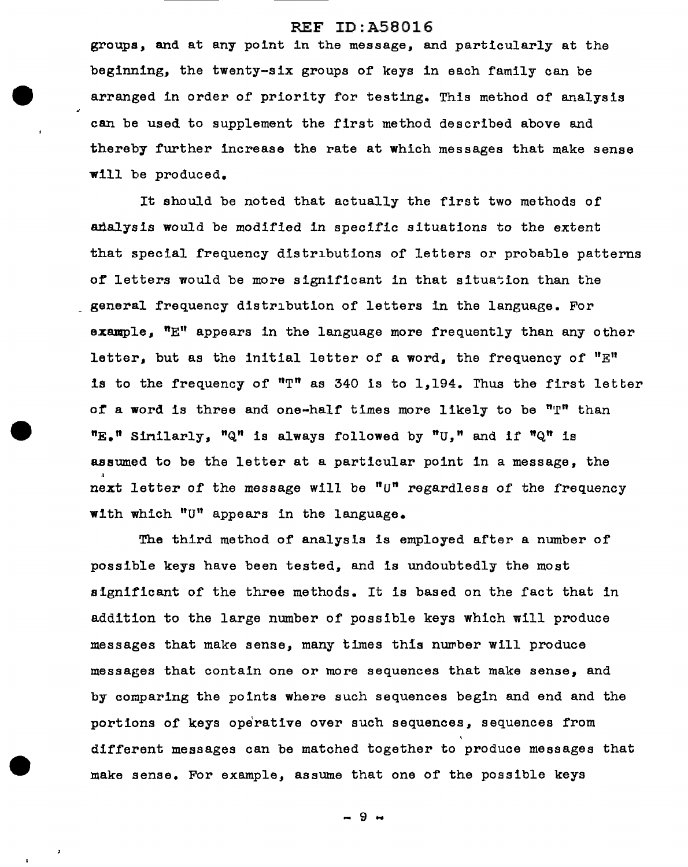groups, and at any point in the message, and particularly at the beginning, the twenty-six groups of keys in each family can be arranged in order of priority for testing. This method of analysis can be used to supplement the first method described above and thereby further increase the rate at which messages that make sense will be produced.

It should be noted that actually the first two methods of analysis would be modified in specific situations to the extent that special frequency distributions of letters or probable patterns of letters would be more significant in that situation than the general frequency distribution of letters in the language. For example.  $"E"$  appears in the language more frequently than any other letter, but as the initial letter of a word, the frequency of "E" is to the frequency of " $T$ " as 340 is to 1,194. Thus the first letter of a word is three and one-half times more likely to be  $"T"$  than  $"E_{\bullet}"$  Sinilarly,  $"Q"$  is always followed by  $"U_{\bullet}"$  and if  $"Q"$  is assumed to be the letter at a particular point in a message, the next letter of the message will be " $U$ " regardless of the frequency with which "U'' appears in the language.

The third method of analysis ls employed after a number of possible keys have been tested, and is undoubtedly the most significant of the three methods. It is based on the fact that in addition to the large number of possible keys which will produce messages that make sense, many times this number will produce messages that contain one or more sequences that make sense, and by comparing the points where such sequences begin and end and the portions of keys operative over such sequences, sequences from different messages can be matched together to produce messages that make sense. For example, assume that one of the possible keys

- 9 -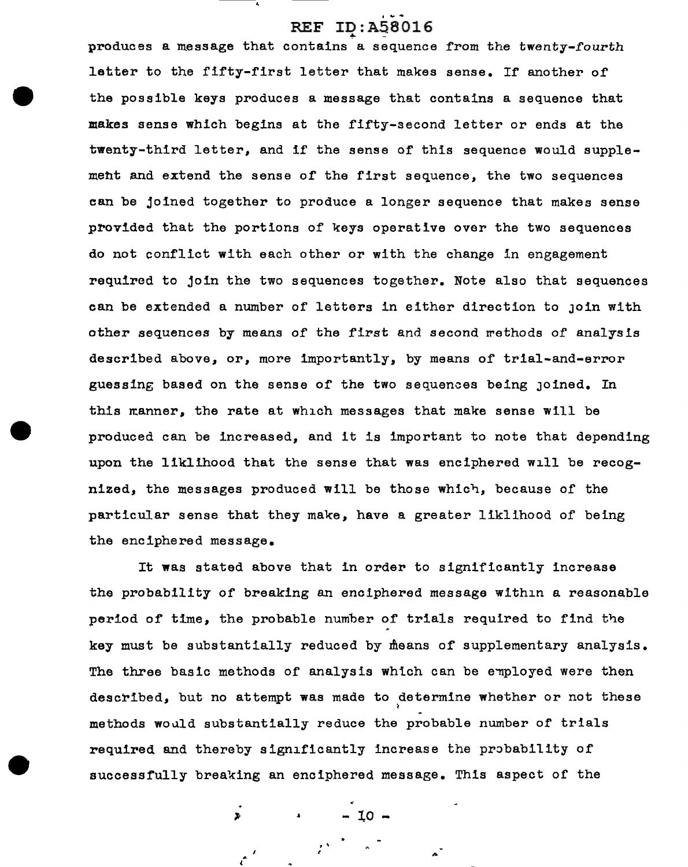produces a message that contains a sequence from the twenty-fourth letter to the fifty-first letter that makes sense. If another of the possible keys produces a message that contains a sequence that makes sense which begins at the fifty-second letter or ends at the twenty-third letter, and if the sense of this sequence would supplemeht and extend the sense of the first sequence, the two sequences can be joined together to produce a longer sequence that makes sense provided that the portions of keys operative over the two sequences do not conflict with each other or with the change in engagement required to join the two sequences together. Note also that sequences can be extended a number of letters in either direction to JOin with other sequences by means of the first and second rethods of analysis described above, or, more importantly, by means of trial-and-error guessing based on the sense of the two sequences being Joined. In this manner, the rate at which messages that make sense will be produced can be increased, and it is important to note that depending upon the liklihood that the sense that was enciphered will be recognized, the messages produced will be those which, because of the particular sense that they make, have a greater liklihood of being the enciphered message.

It was stated above that in order to significantly increase the probability of breaking an enciphered message within a reasonable period of time, the probable number of trials required to find the key must be substantially reduced by means of supplementary analysis. The three basic methods of analysis which can be employed were then described, but no attempt was made to determine whether or not these ~ methods would substantially reduce the probable number of trials required and thereby significantly increase the probability of successfully breaking an enciphered message. This aspect of the

- 10

'. '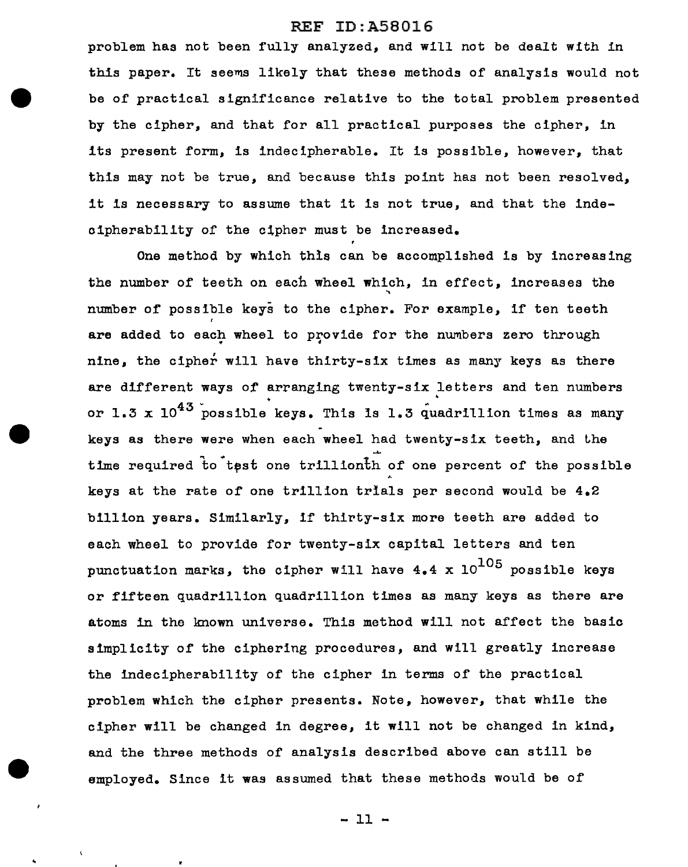problem has not been fully analyzed, and will not be dealt with in this paper. It seems likely that these methods of analysis would not be of practical significance relative to the total problem presented by the cipher, and that for all practical purposes the cipher, in its present form, is indecipherable. It is possible, however, that this may not be true, and because this point has not been resolved, it is necessary to assume that it is not true, and that the indeoipherabillty of the clpher must be increased.

One method by which this can be accomplished is by increasing the number of teeth on each wheel which, in effect, increases the number of possible keys to the cipher. For example, if ten teeth are added to each wheel to provide for the numbers zero through nine, the cipher will have thirty-six times as many keys as there are different ways of arranging twenty-six letters and ten numbers or 1.3 x  $10^{43}$  possible keys. This is 1.3 quadrillion times as many keys as there were when each wheel had twenty-six teeth, and the time required to test one trillionth of one percent of the possible keys at the rate of one trillion trials per second would be 4.2 billion years. Similarly, if thirty-six more teeth are added to each wheel to provide for twenty-six capital letters and ten punctuation marks, the cipher will have  $4.4 \times 10^{105}$  possible keys or fifteen quadrillion quadrillion times as many keys as there are atoms in the known universe. This method will not affect the basic simplicity of the ciphering procedures, and will greatly increase the indecipherability of the cipher in terms of the practical problem which the cipher presents. Note, however, that while the cipher will be changed in degree, it will not be changed in kind, and the three methods of analysis described above can still be employed. Since it was assumed that these methods would be of

 $-11 -$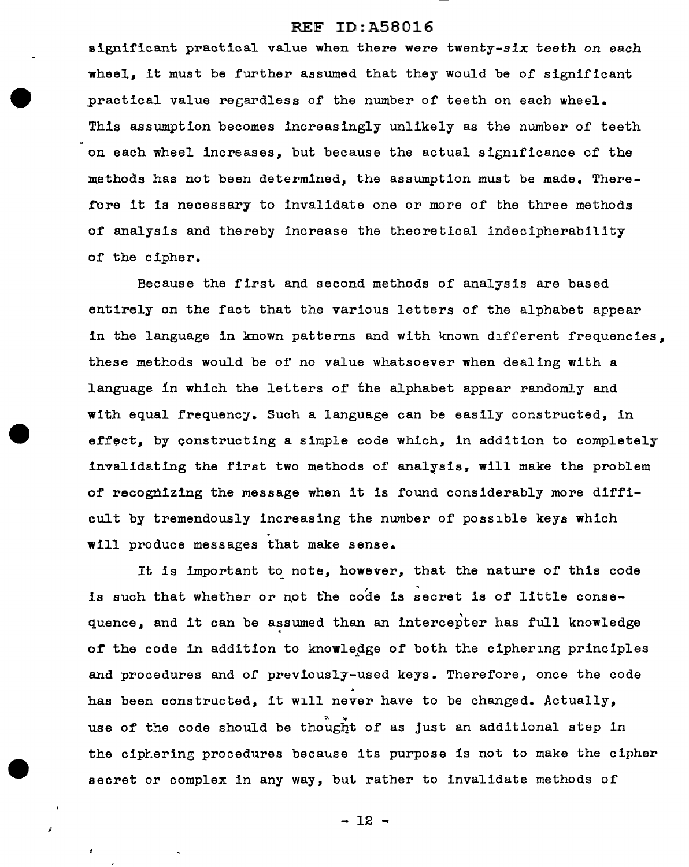significant practical value when there were twenty-six teeth on each wheel, it must be further assumed that they would be of significant practical value recardless of the number of teeth on each wheel. This assumption becomes increasingly unlikely as the number of teeth on each wheel increases, but because the actual significance of the methods has not been determined, the assumption must be made. There fore it is necessary to invalidate one or more of the three methods of analysis and thereby increase the theoretical indecipherability of the cipher.

Because the first and second methods of analysis are based entirely on the fact that the various letters of the alphabet appear in the language in known patterns and with known different frequencies, these methods would be of no value whatsoever when dealing with a language in which the letters of the alphabet appear randomly and with equal frequency. Such a language can be easily constructed, in effect, by constructing a simple code which, in addition to completely invalidating the first two methods of analysis, will make the problem of recognizing the message when it is found considerably more difficult by tremendously increasing the number of possible keys which . will produce messages that make sense.

It is important to note, however, that the nature of this code is such that whether or not the code is secret is of little consequence, and it can be assumed than an intercepter has full knowledge of the code in addition to knowledge of both the ciphering principles and procedures and of previously-used keys. Therefore, once the code has been constructed, it will never have to be changed. Actually, use of the code should be thought of as just an additional step in the cipLering procedures because its purpose is not to make the cipher secret or complex in any way, but rather to invalidate methods of

 $-12 -$ 

I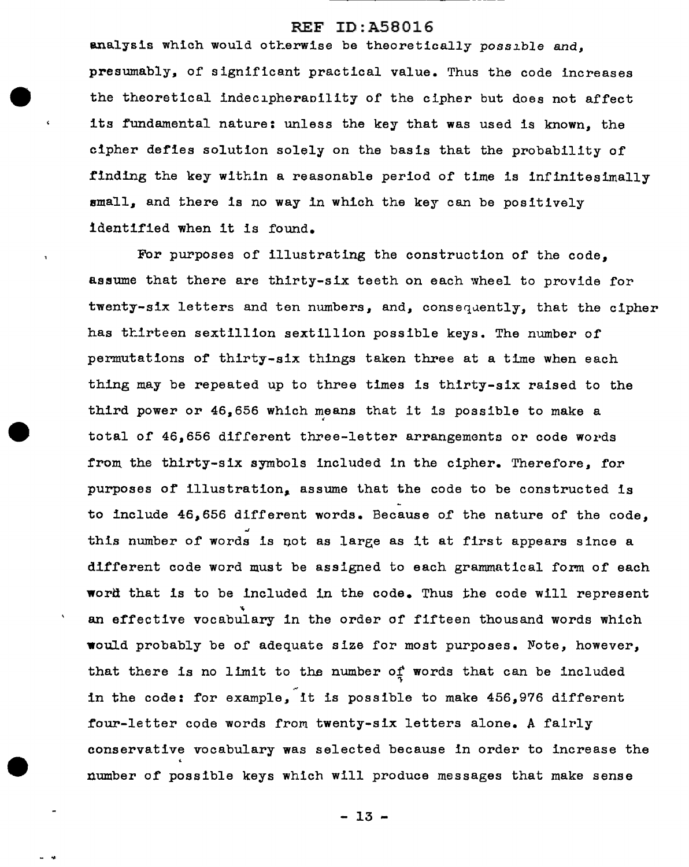analysis which would otherwise be theoretically possible and. presumably, of significant practical value. Thus the code increases the theoretical indecipherapility of the cipher but does not affect its fundamental nature: unless the key that was used is known, the cipher defies solution solely on the basis that the probability of finding the key within a reasonable period of time is infinitesimally small, and there is no way in which the key can be positively identified when it is found.

For purposes of illustrating the construction of the code, assume that there are thirty-six teeth on each wheel to provide for twenty-six letters and ten numbers, and, consequently, that the cipher has thirteen sextillion sextillion possible keys. The number of permutations of thirty-six things taken three at a time when each thing may be repeated up to three times is thirty-six raised to the third power or  $46,656$  which means that it is possible to make a<br>total of  $46,656$  different three-letter arrangements or code words from the thirty-six symbols included in the cipher. Therefore, for purposes of illustration, assume that the code to be constructed is to include 46,656 different words. Because of the nature of the code, this number of words is not as laree as it at first appears since a different code word must be assigned to each grammatical form of each word that is to be included in the code. Thus the code will represent an effective vocabulary in the order of fifteen thousand words which would probably be of adequate size for most purposes. Note, however, that there is no limit to the number of words that can be included in the code: for example, it is possible to make 456,976 different four-letter code words from twenty-six letters alone. A fairly conservative vocabulary was selected because in order to increase the number of possible keys which will produce messages that make sense

- 13 -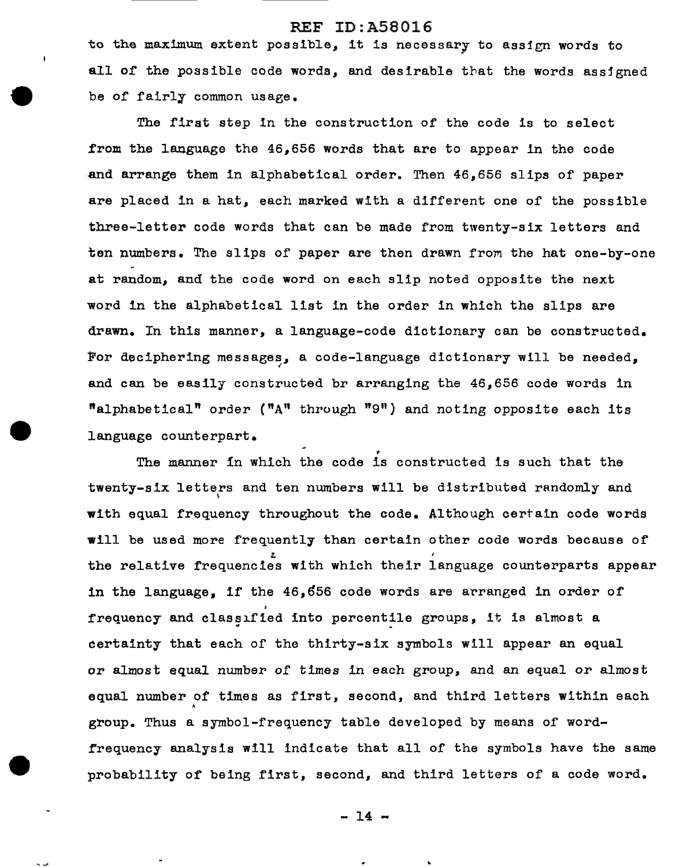to the maximum extent possible, it is necessary to assign words to all of the possible code words, and desirable that the words assigned be of fairly common usage.

The first step in the construction of the code is to select from the language the 46,656 words that are to appear in the code and arrange them in alphabetical order. Then 46,656 slips of paper are placed in a hat, each marked with a different one of the possible three-letter code words that can be made from twenty-six letters and ten numbers. The slips of paper are then drawn from the hat one-by-one at random, and the code word on each slip noted opposite the next word in the alphabetical list in the order in which the slips are drawn. In this manner, a language-code dictionary can be constructed. For deciphering messages, a code-language dictionary will be needed, ' and can be easily constructed br arranging the 46,656 code words in **"alphabetical"** order ("A" through "9") and noting opposite each its language counterpart.

The manner in which the code is constructed is such that the twenty-six letters and ten numbers will be distributed randomly and with equal frequency throughout the code. Although certain code words will be used more frequently than certain other code words because of :.. the relative frequencies with which their language counterparts appear in the language. if the  $46,656$  code words are arranged in order of frequency and classified into percentile groups, it is almost a certainty that each of the thirty-six symbols will appear an equal or almost equal number of times in each group, and an equal or almost equal number of times as first, second, and third letters within each group. Thus a symbol-frequency table developed by means of wordrrequency analysis will indicate that all of the symbols have the same probability of being first, second, and third letters of a code word.

 $-14 -$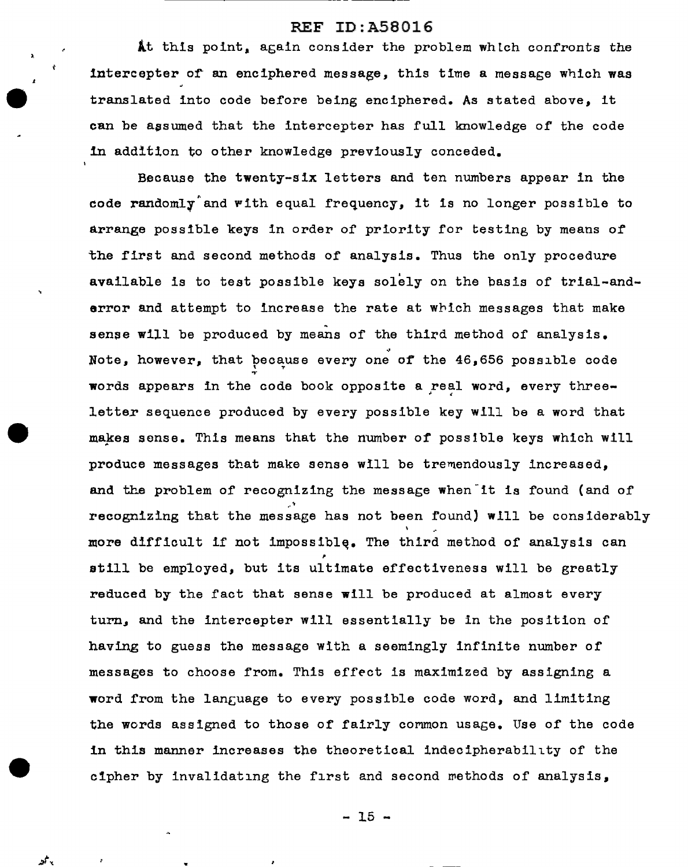At this point, again consider the problem which confronts the intercepter of an enciphered message, this time a message which was translated into code before being enciphered. As stated above, it can be assumed that the intercepter has full knowledge of the code 1n addition to other knowledge previously conceded.

Because the twenty-six letters and ten numbers appear in the code randomly and with equal frequency, it is no longer possible to arrange possible keys in order of priority for testing by means of the first and second methods of analysis. Thus the only procedure available is to test possible keys solely on the basis of trial-andarror and attempt to increase the rate at which messages that make sense will be produced by means of the third method of analysis. ., Note, however, that because every one of the  $46,656$  possible code words appears in the code book opposite a real word, every threeletter sequence produced by every possible key will be a word that makes sense. This means that the number of possible keys which will produce messages that make sense will be tremendously increased, and the problem of recognizing the message when it is found (and of ,• recognizing that the message has not been found) will be considerably \ more difficult if not impossible. The third method of analysis can still be employed, but its ultimate effectiveness will be greatly reduced by the fact that sense will be produced at almost every turn, and the intercepter will essentially be in the position of having to guess the message with a seemingly infinite number of messages to choose from. This effect is maximized by assigning a word from the language to every possible code word, and limiting the words assigned to those of fairly common usage. Use of the code in this manner increases the theoretical indecipherability of the cipher by invalidating the first and second methods of analysis,

 $-15 -$ 

*:i· ..* 

 $\lambda$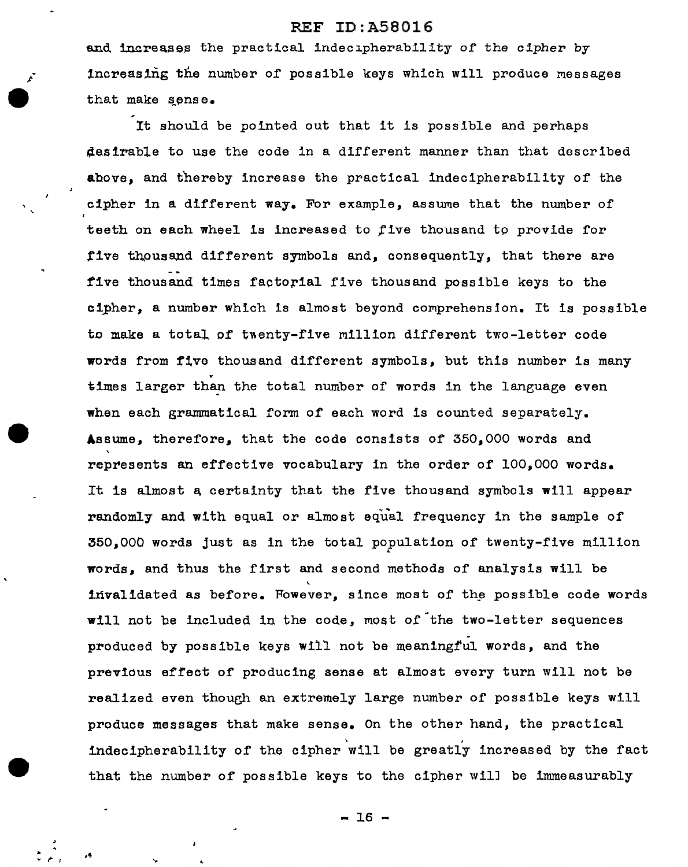and increases the practical indecipherability *or* the cipher by increasing the number of possible keys which will produce messages that make sense.

It should be pointed out that it is possible and perhaps desirable to use the code in a different manner than that described above, and thereby increase the practical indecipherability of the cipher in a different way. For example, assume that the number of teeth on each wheel is increased to five thousand to provide for five thousand different symbols and, consequently, that there are five thousand times factorial five thousand possible keys to the cipher, a number which is almost beyond comprehension. It is possible to make a total of twenty-five million different two-letter code words from five thousand different symbols, but this number is many . times larger than the total number of words in the language even when each grammatical form of each word is counted separately. Assume, therefore, that the code consists of 350,000 words and represents an effective vocabulary in the order of 100,000 words. It is almost a certainty that the five thousand symbols will appear randomly and with equal or almost equal frequency in the sample of  $350$ ,000 words just as in the total population of twenty-five million words, and thus the first and second methods of analysis will be invalidated as before. Fowever, since most of the possible code words will not be included in the code, most of the two-letter sequences produced by possible keys will not be meaningful words, and the previous effect of producing sense at almost every turn will not be realized even though an extremely large number of possible keys will produce messages that make sense. On the other hand, the practical indecipherability of the cipher will be greatly increased by the fact that the number of possible keys to the cipher wilJ be immeasurably

 $-16 -$ 

••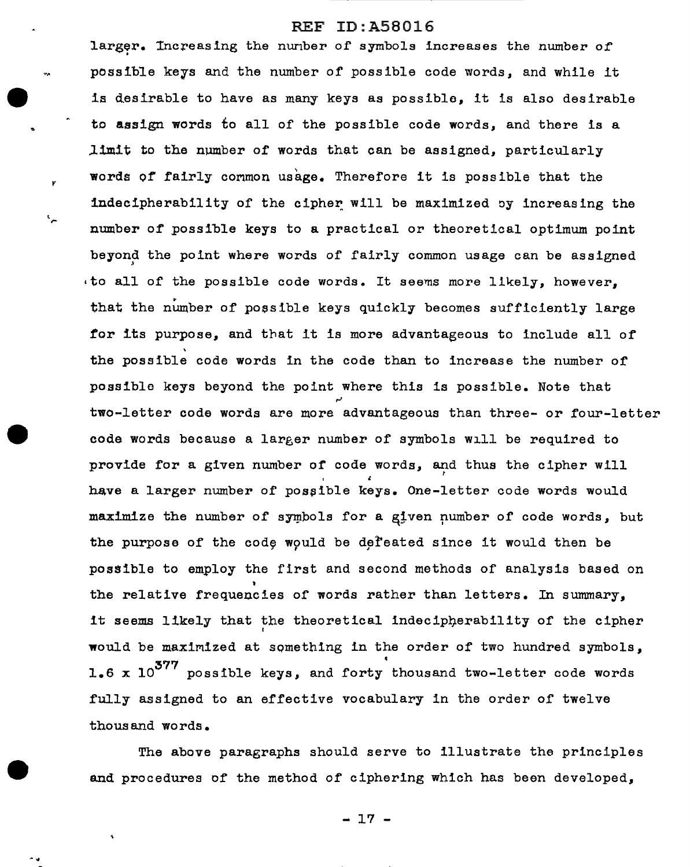*y* 

• r

larger. Increasing the nuriber of symbols increases the number of . possible keys and the number of possible code words, and while it is desirable to have as many keys as possible, it is also desirable to assign words to all of the possible code words, and there is a  $l$ imit to the number of words that can be assigned, particularly words of fairly common usage. Therefore it is possible that the indecipherability of the cipher will be maximized by increasing the number of possible keys to a practical or theoretical optimum point beyond the point where words of fairly common usage can be assigned  $\cdot$  to all of the possible code words. It seems more likely, however. that the number of possible keys quickly becomes sufficiently large tor its purpose, and that it is more advantageous to include all of the possible code words in the code than to increase the number of possible keys beyond the point where this is possible. Note that ~ two-letter code words are more advantageous than three- or four-letter code words because a larger number of symbols will be required to provide for a given number of code words, and thus the cipher will ' have a larger number of possible keys. One-letter code words would maximize the number of symbols for a given number of code words, but the purpose of the code would be defeated since it would then be possible to employ the first and second methods of analysis based on the relative frequencies of words rather than letters. In summary, it seems likely that the theoretical indecipherability of the cipher would be maximized at something in the order of two hundred symbols, 1.6 x  $10^{377}$  possible keys, and forty thousand two-letter code words fully assigned to an effective vocabulary in the order of twelve thousand words.

The above paragraphs should serve to illustrate the principles and procedures of the method of ciphering which has been developed,

- 17 -